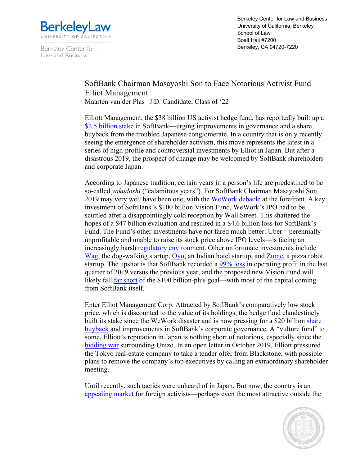

Berkeley Center for Law and Business

Berkeley Center for Law and Business University of California, Berkeley School of Law Boalt Hall #7200 Berkeley, CA 94720-7220

## SoftBank Chairman Masayoshi Son to Face Notorious Activist Fund Elliot Management

Maarten van der Plas | J.D. Candidate, Class of '22

Elliott Management, the \$38 billion US activist hedge fund, has reportedly built up a \$2.5 billion stake in SoftBank—urging improvements in governance and a share buyback from the troubled Japanese conglomerate. In a country that is only recently seeing the emergence of shareholder activism, this move represents the latest in a series of high-profile and controversial investments by Elliot in Japan. But after a disastrous 2019, the prospect of change may be welcomed by SoftBank shareholders and corporate Japan.

According to Japanese tradition, certain years in a person's life are predestined to be so-called *yakudoshi* ("calamitous years"). For SoftBank Chairman Masayoshi Son, 2019 may very well have been one, with the WeWork debacle at the forefront. A key investment of SoftBank's \$100 billion Vision Fund, WeWork's IPO had to be scuttled after a disappointingly cold reception by Wall Street. This shattered the hopes of a \$47 billion evaluation and resulted in a \$4.6 billion loss for SoftBank's Fund. The Fund's other investments have not fared much better: Uber—perennially unprofitable and unable to raise its stock price above IPO levels—is facing an increasingly harsh regulatory environment. Other unfortunate investments include Wag, the dog-walking startup, Oyo, an Indian hotel startup, and Zume, a pizza robot startup. The upshot is that SoftBank recorded a 99% loss in operating profit in the last quarter of 2019 versus the previous year, and the proposed new Vision Fund will likely fall far short of the \$100 billion-plus goal—with most of the capital coming from SoftBank itself.

Enter Elliot Management Corp. Attracted by SoftBank's comparatively low stock price, which is discounted to the value of its holdings, the hedge fund clandestinely built its stake since the WeWork disaster and is now pressing for a \$20 billion share buyback and improvements in SoftBank's corporate governance. A "vulture fund" to some, Elliott's reputation in Japan is nothing short of notorious, especially since the bidding war surrounding Unizo. In an open letter in October 2019, Elliott pressured the Tokyo real-estate company to take a tender offer from Blackstone, with possible plans to remove the company's top executives by calling an extraordinary shareholder meeting.

Until recently, such tactics were unheard of in Japan. But now, the country is an appealing market for foreign activists—perhaps even the most attractive outside the